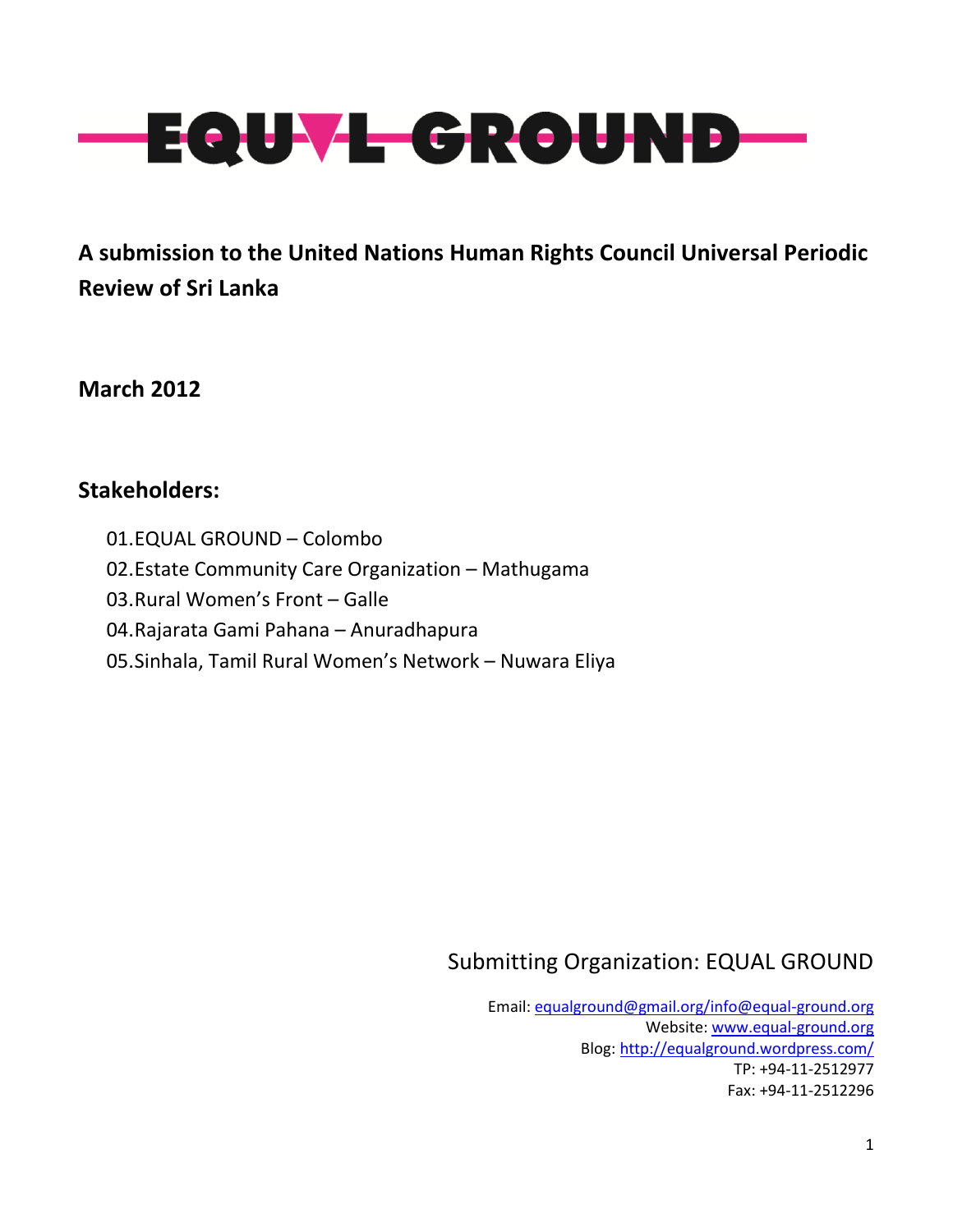

**A submission to the United Nations Human Rights Council Universal Periodic Review of Sri Lanka**

**March 2012**

# **Stakeholders:**

01.EQUAL GROUND – Colombo 02.Estate Community Care Organization – Mathugama 03.Rural Women's Front – Galle 04.Rajarata Gami Pahana – Anuradhapura 05.Sinhala, Tamil Rural Women's Network – Nuwara Eliya

# Submitting Organization: EQUAL GROUND

Email[: equalground@gmail.org/info@equal-ground.org](mailto:equalground@gmail.org/info@equal-ground.org) Website: [www.equal-ground.org](http://www.equal-ground.org/) Blog:<http://equalground.wordpress.com/> TP: +94-11-2512977 Fax: +94-11-2512296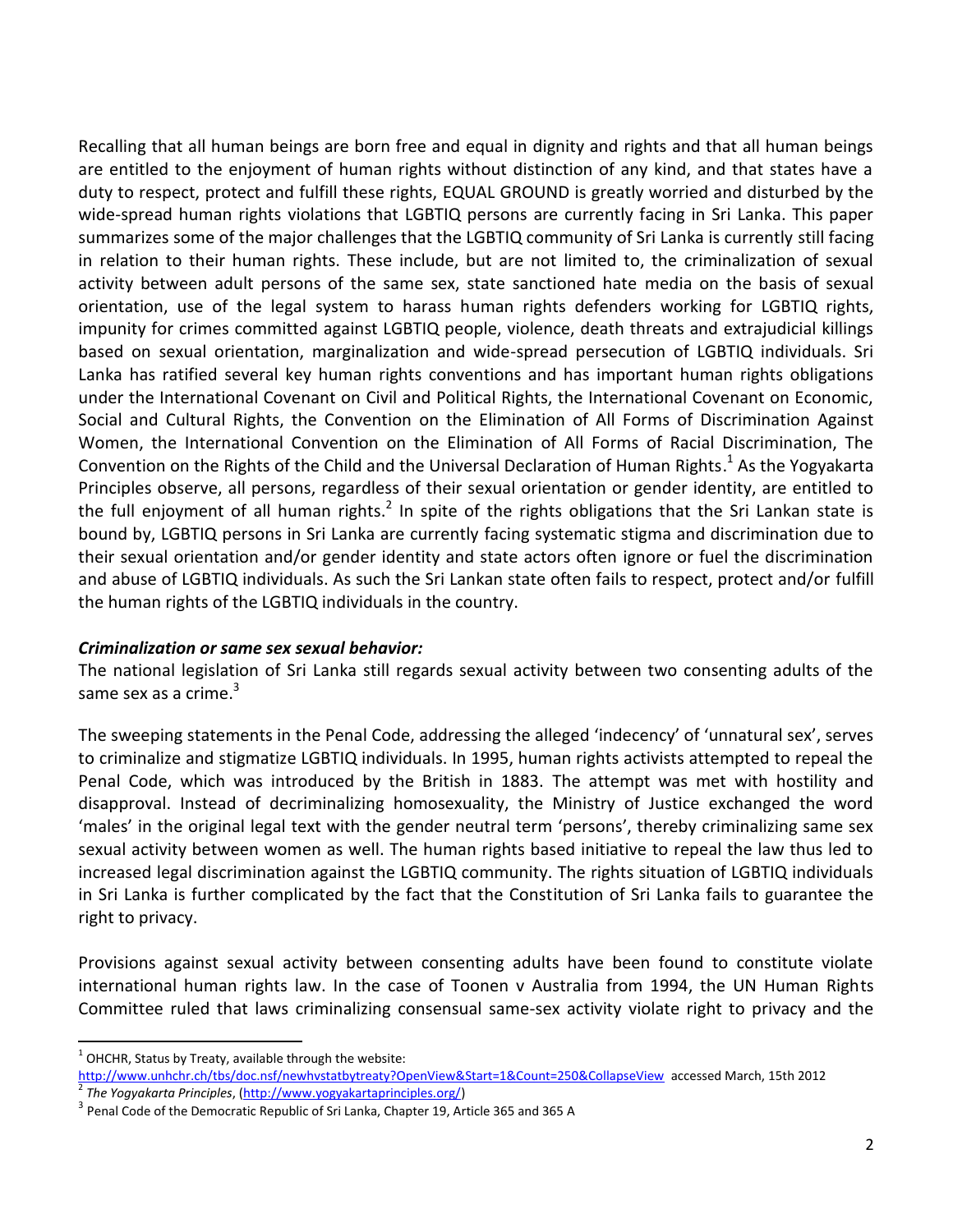Recalling that all human beings are born free and equal in dignity and rights and that all human beings are entitled to the enjoyment of human rights without distinction of any kind, and that states have a duty to respect, protect and fulfill these rights, EQUAL GROUND is greatly worried and disturbed by the wide-spread human rights violations that LGBTIQ persons are currently facing in Sri Lanka. This paper summarizes some of the major challenges that the LGBTIQ community of Sri Lanka is currently still facing in relation to their human rights. These include, but are not limited to, the criminalization of sexual activity between adult persons of the same sex, state sanctioned hate media on the basis of sexual orientation, use of the legal system to harass human rights defenders working for LGBTIQ rights, impunity for crimes committed against LGBTIQ people, violence, death threats and extrajudicial killings based on sexual orientation, marginalization and wide-spread persecution of LGBTIQ individuals. Sri Lanka has ratified several key human rights conventions and has important human rights obligations under the International Covenant on Civil and Political Rights, the International Covenant on Economic, Social and Cultural Rights, the Convention on the Elimination of All Forms of Discrimination Against Women, the International Convention on the Elimination of All Forms of Racial Discrimination, The Convention on the Rights of the Child and the Universal Declaration of Human Rights.<sup>1</sup> As the Yogyakarta Principles observe, all persons, regardless of their sexual orientation or gender identity, are entitled to the full enjoyment of all human rights.<sup>2</sup> In spite of the rights obligations that the Sri Lankan state is bound by, LGBTIQ persons in Sri Lanka are currently facing systematic stigma and discrimination due to their sexual orientation and/or gender identity and state actors often ignore or fuel the discrimination and abuse of LGBTIQ individuals. As such the Sri Lankan state often fails to respect, protect and/or fulfill the human rights of the LGBTIQ individuals in the country.

#### *Criminalization or same sex sexual behavior:*

The national legislation of Sri Lanka still regards sexual activity between two consenting adults of the same sex as a crime. $3$ 

The sweeping statements in the Penal Code, addressing the alleged 'indecency' of 'unnatural sex', serves to criminalize and stigmatize LGBTIQ individuals. In 1995, human rights activists attempted to repeal the Penal Code, which was introduced by the British in 1883. The attempt was met with hostility and disapproval. Instead of decriminalizing homosexuality, the Ministry of Justice exchanged the word 'males' in the original legal text with the gender neutral term 'persons', thereby criminalizing same sex sexual activity between women as well. The human rights based initiative to repeal the law thus led to increased legal discrimination against the LGBTIQ community. The rights situation of LGBTIQ individuals in Sri Lanka is further complicated by the fact that the Constitution of Sri Lanka fails to guarantee the right to privacy.

Provisions against sexual activity between consenting adults have been found to constitute violate international human rights law. In the case of Toonen v Australia from 1994, the UN Human Rights Committee ruled that laws criminalizing consensual same-sex activity violate right to privacy and the

 $\ddot{\phantom{a}}$  $^1$  OHCHR, Status by Treaty, available through the website:

<http://www.unhchr.ch/tbs/doc.nsf/newhvstatbytreaty?OpenView&Start=1&Count=250&CollapseView>accessed March, 15th 2012 2 *The Yogyakarta Principles*, [\(http://www.yogyakartaprinciples.org/\)](http://www.yogyakartaprinciples.org/)

 $^3$  Penal Code of the Democratic Republic of Sri Lanka, Chapter 19, Article 365 and 365 A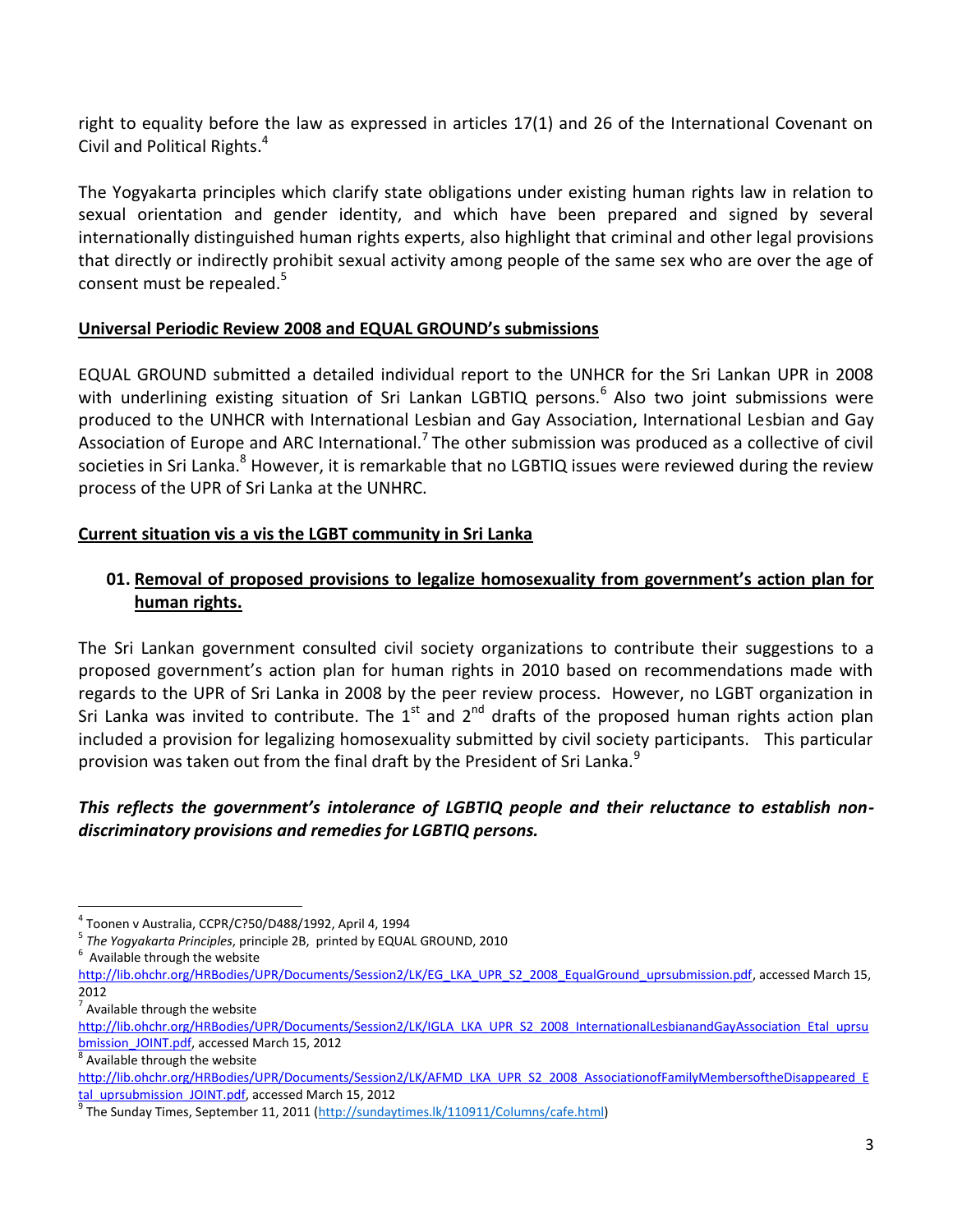right to equality before the law as expressed in articles 17(1) and 26 of the International Covenant on Civil and Political Rights.<sup>4</sup>

The Yogyakarta principles which clarify state obligations under existing human rights law in relation to sexual orientation and gender identity, and which have been prepared and signed by several internationally distinguished human rights experts, also highlight that criminal and other legal provisions that directly or indirectly prohibit sexual activity among people of the same sex who are over the age of consent must be repealed.<sup>5</sup>

#### **Universal Periodic Review 2008 and EQUAL GROUND's submissions**

EQUAL GROUND submitted a detailed individual report to the UNHCR for the Sri Lankan UPR in 2008 with underlining existing situation of Sri Lankan LGBTIQ persons.<sup>6</sup> Also two joint submissions were produced to the UNHCR with International Lesbian and Gay Association, International Lesbian and Gay Association of Europe and ARC International.<sup>7</sup> The other submission was produced as a collective of civil societies in Sri Lanka.<sup>8</sup> However, it is remarkable that no LGBTIQ issues were reviewed during the review process of the UPR of Sri Lanka at the UNHRC.

# **Current situation vis a vis the LGBT community in Sri Lanka**

# **01. Removal of proposed provisions to legalize homosexuality from government's action plan for human rights.**

The Sri Lankan government consulted civil society organizations to contribute their suggestions to a proposed government's action plan for human rights in 2010 based on recommendations made with regards to the UPR of Sri Lanka in 2008 by the peer review process. However, no LGBT organization in Sri Lanka was invited to contribute. The  $1<sup>st</sup>$  and  $2<sup>nd</sup>$  drafts of the proposed human rights action plan included a provision for legalizing homosexuality submitted by civil society participants. This particular provision was taken out from the final draft by the President of Sri Lanka.<sup>9</sup>

# *This reflects the government's intolerance of LGBTIQ people and their reluctance to establish nondiscriminatory provisions and remedies for LGBTIQ persons.*

 $7$  Available through the website

 $\overline{a}$ 

 $^8$  Available through the website

<sup>4</sup> Toonen v Australia, CCPR/C?50/D488/1992, April 4, 1994

<sup>5</sup> *The Yogyakarta Principles*, principle 2B, printed by EQUAL GROUND, 2010

 $6$  Available through the website

[http://lib.ohchr.org/HRBodies/UPR/Documents/Session2/LK/EG\\_LKA\\_UPR\\_S2\\_2008\\_EqualGround\\_uprsubmission.pdf,](http://lib.ohchr.org/HRBodies/UPR/Documents/Session2/LK/EG_LKA_UPR_S2_2008_EqualGround_uprsubmission.pdf) accessed March 15, 2012

[http://lib.ohchr.org/HRBodies/UPR/Documents/Session2/LK/IGLA\\_LKA\\_UPR\\_S2\\_2008\\_InternationalLesbianandGayAssociation\\_Etal\\_uprsu](http://lib.ohchr.org/HRBodies/UPR/Documents/Session2/LK/IGLA_LKA_UPR_S2_2008_InternationalLesbianandGayAssociation_Etal_uprsubmission_JOINT.pdf) bmission JOINT.pdf, accessed March 15, 2012

[http://lib.ohchr.org/HRBodies/UPR/Documents/Session2/LK/AFMD\\_LKA\\_UPR\\_S2\\_2008\\_AssociationofFamilyMembersoftheDisappeared\\_E](http://lib.ohchr.org/HRBodies/UPR/Documents/Session2/LK/AFMD_LKA_UPR_S2_2008_AssociationofFamilyMembersoftheDisappeared_Etal_uprsubmission_JOINT.pdf) [tal\\_uprsubmission\\_JOINT.pdf,](http://lib.ohchr.org/HRBodies/UPR/Documents/Session2/LK/AFMD_LKA_UPR_S2_2008_AssociationofFamilyMembersoftheDisappeared_Etal_uprsubmission_JOINT.pdf) accessed March 15, 2012

<sup>&</sup>lt;sup>9</sup> The Sunday Times, September 11, 2011 [\(http://sundaytimes.lk/110911/Columns/cafe.html\)](http://sundaytimes.lk/110911/Columns/cafe.html)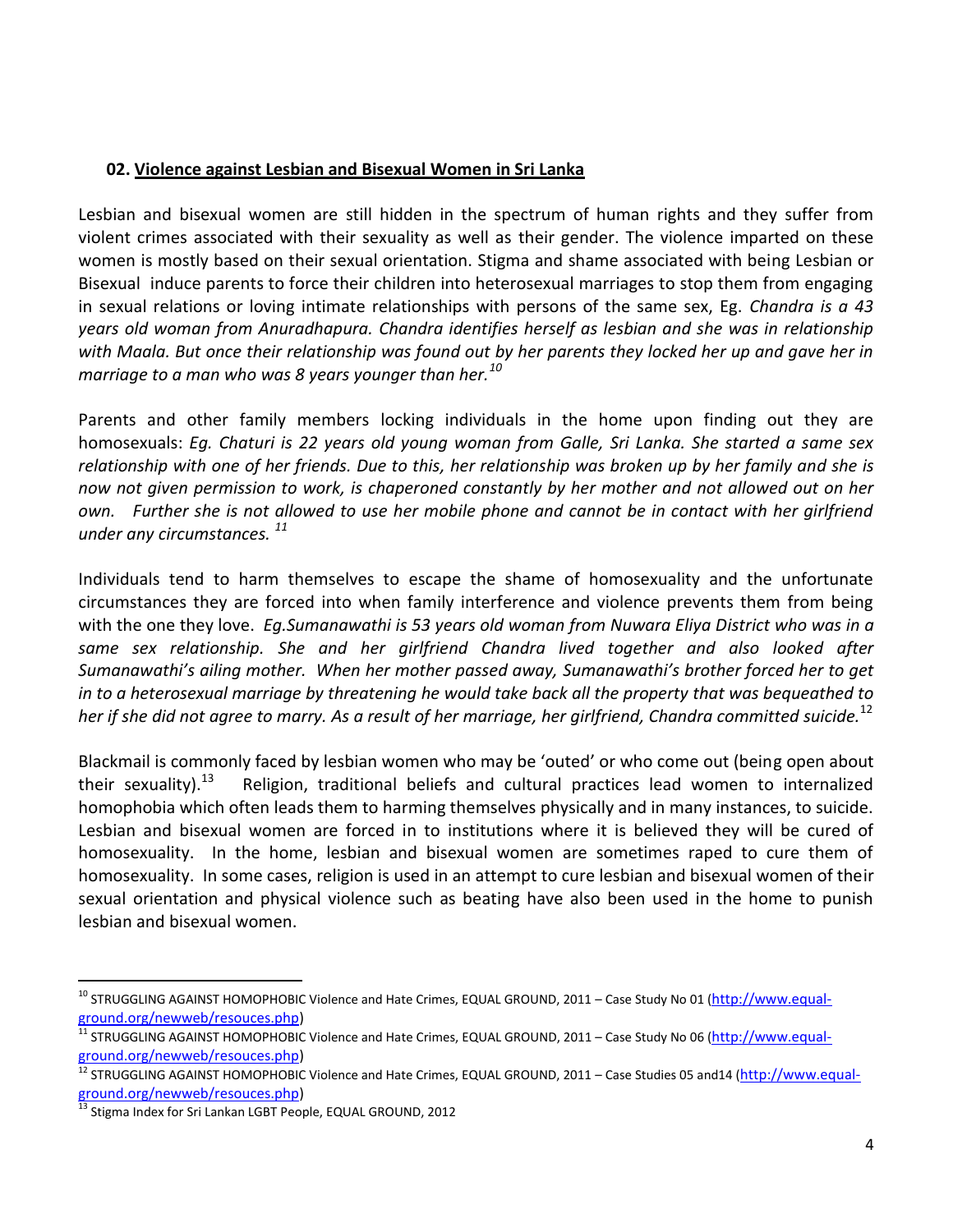#### **02. Violence against Lesbian and Bisexual Women in Sri Lanka**

Lesbian and bisexual women are still hidden in the spectrum of human rights and they suffer from violent crimes associated with their sexuality as well as their gender. The violence imparted on these women is mostly based on their sexual orientation. Stigma and shame associated with being Lesbian or Bisexual induce parents to force their children into heterosexual marriages to stop them from engaging in sexual relations or loving intimate relationships with persons of the same sex, Eg. *Chandra is a 43 years old woman from Anuradhapura. Chandra identifies herself as lesbian and she was in relationship with Maala. But once their relationship was found out by her parents they locked her up and gave her in marriage to a man who was 8 years younger than her.<sup>10</sup>*

Parents and other family members locking individuals in the home upon finding out they are homosexuals: *Eg. Chaturi is 22 years old young woman from Galle, Sri Lanka. She started a same sex relationship with one of her friends. Due to this, her relationship was broken up by her family and she is now not given permission to work, is chaperoned constantly by her mother and not allowed out on her own. Further she is not allowed to use her mobile phone and cannot be in contact with her girlfriend under any circumstances. <sup>11</sup>*

Individuals tend to harm themselves to escape the shame of homosexuality and the unfortunate circumstances they are forced into when family interference and violence prevents them from being with the one they love. *Eg.Sumanawathi is 53 years old woman from Nuwara Eliya District who was in a same sex relationship. She and her girlfriend Chandra lived together and also looked after Sumanawathi's ailing mother. When her mother passed away, Sumanawathi's brother forced her to get in to a heterosexual marriage by threatening he would take back all the property that was bequeathed to her if she did not agree to marry. As a result of her marriage, her girlfriend, Chandra committed suicide.*<sup>12</sup>

Blackmail is commonly faced by lesbian women who may be 'outed' or who come out (being open about their sexuality). $^{13}$  Religion, traditional beliefs and cultural practices lead women to internalized homophobia which often leads them to harming themselves physically and in many instances, to suicide. Lesbian and bisexual women are forced in to institutions where it is believed they will be cured of homosexuality. In the home, lesbian and bisexual women are sometimes raped to cure them of homosexuality. In some cases, religion is used in an attempt to cure lesbian and bisexual women of their sexual orientation and physical violence such as beating have also been used in the home to punish lesbian and bisexual women.

 $\overline{a}$ 

<sup>&</sup>lt;sup>10</sup> STRUGGLING AGAINST HOMOPHOBIC Violence and Hate Crimes, EQUAL GROUND, 2011 – Case Study No 01 ([http://www.equal](http://www.equal-ground.org/newweb/resouces.php)[ground.org/newweb/resouces.php\)](http://www.equal-ground.org/newweb/resouces.php)

 $11$  STRUGGLING AGAINST HOMOPHOBIC Violence and Hate Crimes, EQUAL GROUND, 2011 – Case Study No 06 ([http://www.equal](http://www.equal-ground.org/newweb/resouces.php)[ground.org/newweb/resouces.php\)](http://www.equal-ground.org/newweb/resouces.php)

<sup>&</sup>lt;sup>12</sup> STRUGGLING AGAINST HOMOPHOBIC Violence and Hate Crimes, EQUAL GROUND, 2011 – Case Studies 05 and14 ([http://www.equal](http://www.equal-ground.org/newweb/resouces.php)[ground.org/newweb/resouces.php\)](http://www.equal-ground.org/newweb/resouces.php)

 $^{13}$  Stigma Index for Sri Lankan LGBT People, EQUAL GROUND, 2012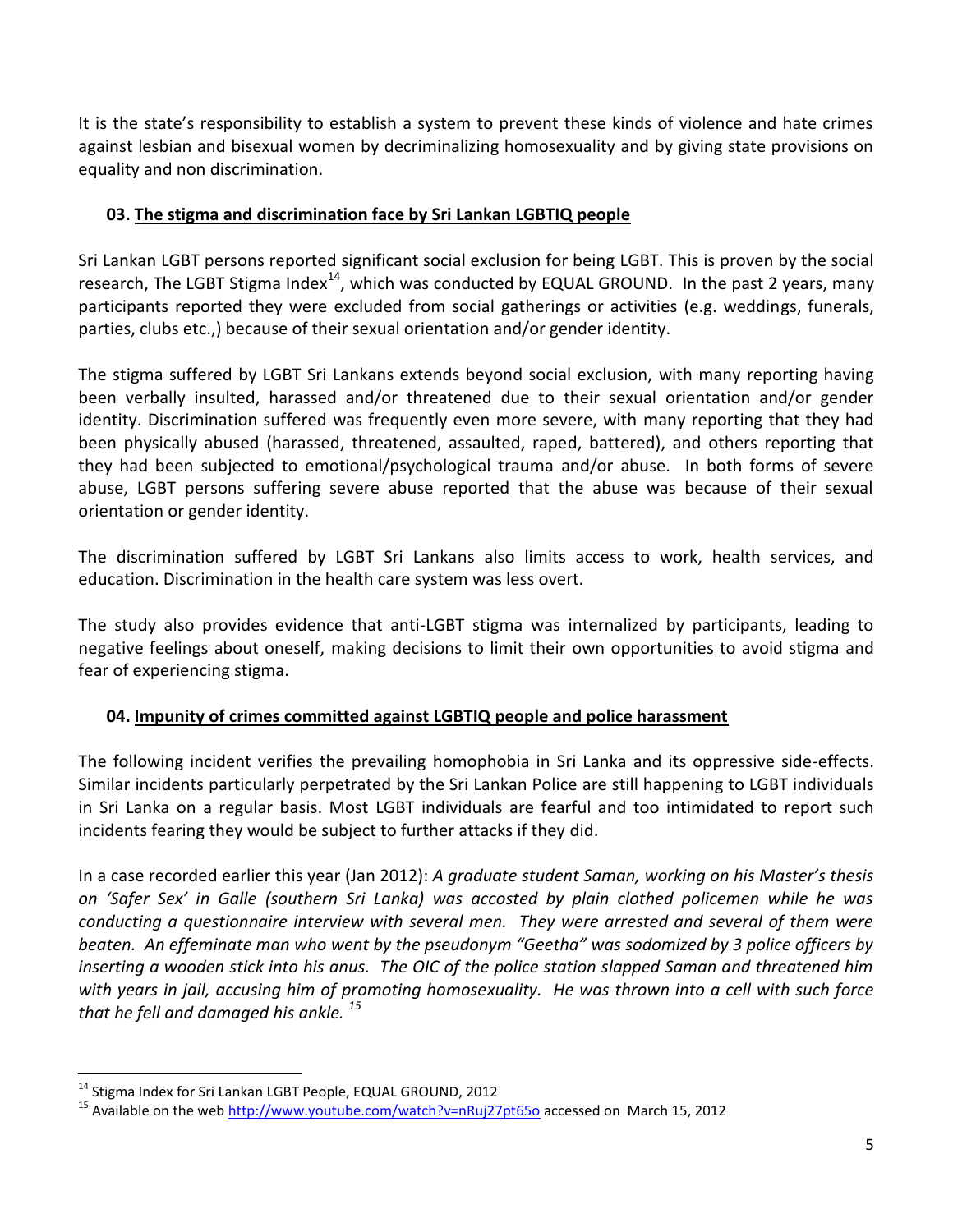It is the state's responsibility to establish a system to prevent these kinds of violence and hate crimes against lesbian and bisexual women by decriminalizing homosexuality and by giving state provisions on equality and non discrimination.

#### **03. The stigma and discrimination face by Sri Lankan LGBTIQ people**

Sri Lankan LGBT persons reported significant social exclusion for being LGBT. This is proven by the social research, The LGBT Stigma Index<sup>14</sup>, which was conducted by EQUAL GROUND. In the past 2 years, many participants reported they were excluded from social gatherings or activities (e.g. weddings, funerals, parties, clubs etc.,) because of their sexual orientation and/or gender identity.

The stigma suffered by LGBT Sri Lankans extends beyond social exclusion, with many reporting having been verbally insulted, harassed and/or threatened due to their sexual orientation and/or gender identity. Discrimination suffered was frequently even more severe, with many reporting that they had been physically abused (harassed, threatened, assaulted, raped, battered), and others reporting that they had been subjected to emotional/psychological trauma and/or abuse. In both forms of severe abuse, LGBT persons suffering severe abuse reported that the abuse was because of their sexual orientation or gender identity.

The discrimination suffered by LGBT Sri Lankans also limits access to work, health services, and education. Discrimination in the health care system was less overt.

The study also provides evidence that anti-LGBT stigma was internalized by participants, leading to negative feelings about oneself, making decisions to limit their own opportunities to avoid stigma and fear of experiencing stigma.

# **04. Impunity of crimes committed against LGBTIQ people and police harassment**

The following incident verifies the prevailing homophobia in Sri Lanka and its oppressive side-effects. Similar incidents particularly perpetrated by the Sri Lankan Police are still happening to LGBT individuals in Sri Lanka on a regular basis. Most LGBT individuals are fearful and too intimidated to report such incidents fearing they would be subject to further attacks if they did.

In a case recorded earlier this year (Jan 2012): *A graduate student Saman, working on his Master's thesis on 'Safer Sex' in Galle (southern Sri Lanka) was accosted by plain clothed policemen while he was conducting a questionnaire interview with several men. They were arrested and several of them were beaten. An effeminate man who went by the pseudonym "Geetha" was sodomized by 3 police officers by inserting a wooden stick into his anus. The OIC of the police station slapped Saman and threatened him with years in jail, accusing him of promoting homosexuality. He was thrown into a cell with such force that he fell and damaged his ankle. <sup>15</sup>* 

 $\overline{a}$ 

<sup>&</sup>lt;sup>14</sup> Stigma Index for Sri Lankan LGBT People, EQUAL GROUND, 2012

<sup>&</sup>lt;sup>15</sup> Available on the web<http://www.youtube.com/watch?v=nRuj27pt65o> accessed on March 15, 2012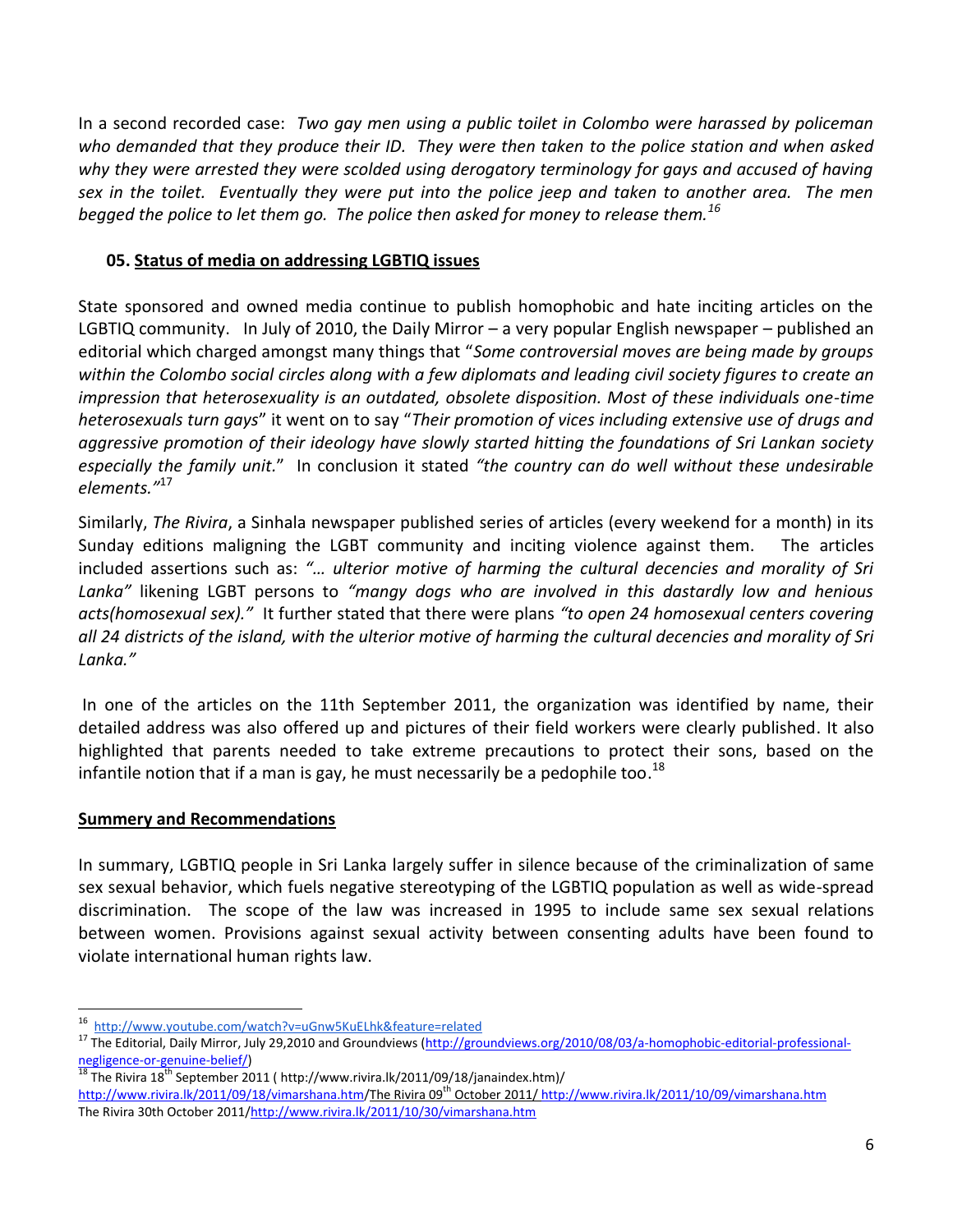In a second recorded case: *Two gay men using a public toilet in Colombo were harassed by policeman who demanded that they produce their ID. They were then taken to the police station and when asked why they were arrested they were scolded using derogatory terminology for gays and accused of having sex in the toilet. Eventually they were put into the police jeep and taken to another area. The men begged the police to let them go. The police then asked for money to release them.<sup>16</sup>*

#### **05. Status of media on addressing LGBTIQ issues**

State sponsored and owned media continue to publish homophobic and hate inciting articles on the LGBTIQ community. In July of 2010, the Daily Mirror – a very popular English newspaper – published an editorial which charged amongst many things that "*Some controversial moves are being made by groups within the Colombo social circles along with a few diplomats and leading civil society figures to create an impression that heterosexuality is an outdated, obsolete disposition. Most of these individuals one-time heterosexuals turn gays*" it went on to say "*Their promotion of vices including extensive use of drugs and aggressive promotion of their ideology have slowly started hitting the foundations of Sri Lankan society especially the family unit.*" In conclusion it stated *"the country can do well without these undesirable elements."*<sup>17</sup>

Similarly, *The Rivira*, a Sinhala newspaper published series of articles (every weekend for a month) in its Sunday editions maligning the LGBT community and inciting violence against them. The articles included assertions such as: *"… ulterior motive of harming the cultural decencies and morality of Sri Lanka"* likening LGBT persons to *"mangy dogs who are involved in this dastardly low and henious acts(homosexual sex)."* It further stated that there were plans *"to open 24 homosexual centers covering all 24 districts of the island, with the ulterior motive of harming the cultural decencies and morality of Sri Lanka."*

In one of the articles on the 11th September 2011, the organization was identified by name, their detailed address was also offered up and pictures of their field workers were clearly published. It also highlighted that parents needed to take extreme precautions to protect their sons, based on the infantile notion that if a man is gay, he must necessarily be a pedophile too.<sup>18</sup>

#### **Summery and Recommendations**

 $\overline{a}$ 

In summary, LGBTIQ people in Sri Lanka largely suffer in silence because of the criminalization of same sex sexual behavior, which fuels negative stereotyping of the LGBTIQ population as well as wide-spread discrimination. The scope of the law was increased in 1995 to include same sex sexual relations between women. Provisions against sexual activity between consenting adults have been found to violate international human rights law.

The Rivira  $18^{th}$  September 2011 ( http://www.rivira.lk/2011/09/18/janaindex.htm)/

<sup>16</sup> <http://www.youtube.com/watch?v=uGnw5KuELhk&feature=related>

<sup>&</sup>lt;sup>17</sup> The Editorial, Daily Mirror, July 29,2010 and Groundviews [\(http://groundviews.org/2010/08/03/a-homophobic-editorial-professional-](http://groundviews.org/2010/08/03/a-homophobic-editorial-professional-negligence-or-genuine-belief/) $negligence-or-genuine-belief/  
187b$ </u>

[http://www.rivira.lk/2011/09/18/vimarshana.htm/](http://www.rivira.lk/2011/09/18/vimarshana.htm)The Rivira 09<sup>th</sup> October 2011/ <http://www.rivira.lk/2011/10/09/vimarshana.htm> The Rivira 30th October 2011[/http://www.rivira.lk/2011/10/30/vimarshana.htm](http://www.rivira.lk/2011/10/30/vimarshana.htm)